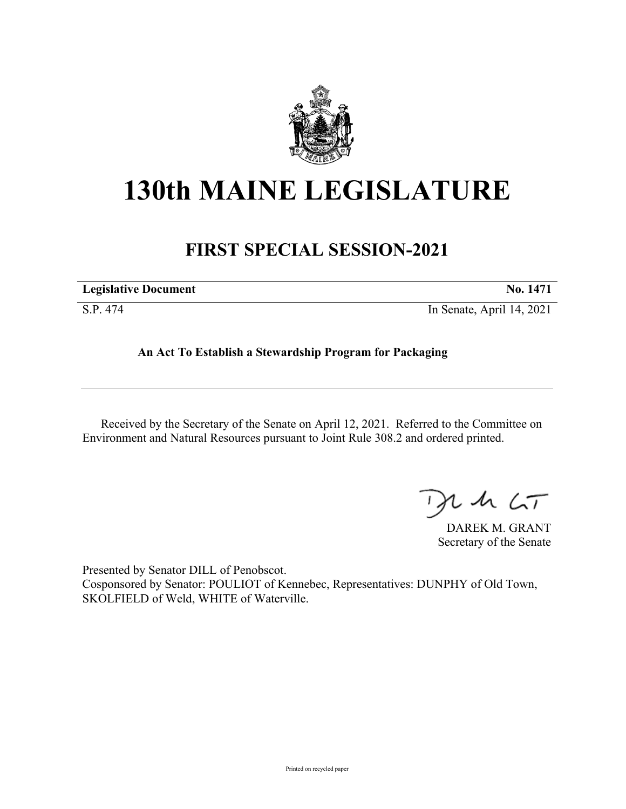

# **130th MAINE LEGISLATURE**

## **FIRST SPECIAL SESSION-2021**

| <b>Legislative Document</b> | No. 1471 |
|-----------------------------|----------|
|                             |          |

S.P. 474 In Senate, April 14, 2021

### **An Act To Establish a Stewardship Program for Packaging**

Received by the Secretary of the Senate on April 12, 2021. Referred to the Committee on Environment and Natural Resources pursuant to Joint Rule 308.2 and ordered printed.

 $125$ 

DAREK M. GRANT Secretary of the Senate

Presented by Senator DILL of Penobscot. Cosponsored by Senator: POULIOT of Kennebec, Representatives: DUNPHY of Old Town, SKOLFIELD of Weld, WHITE of Waterville.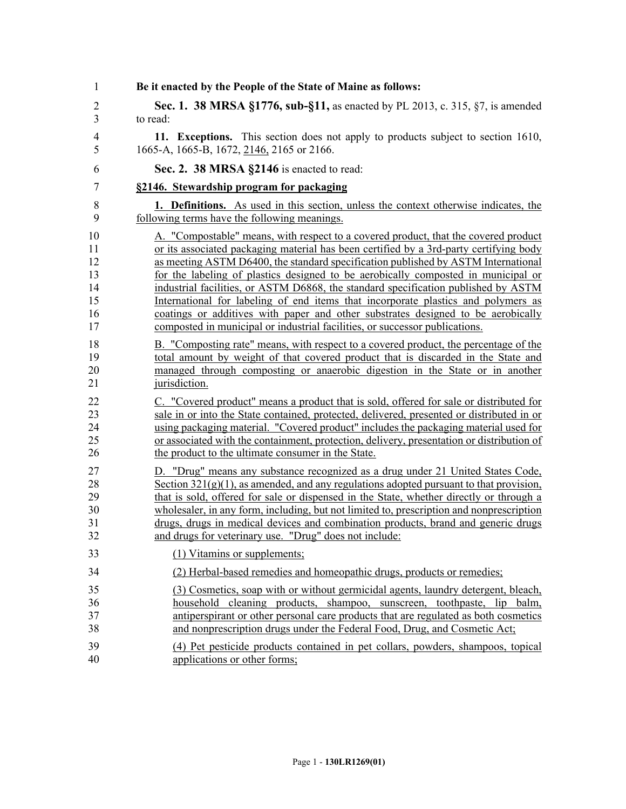| 1              | Be it enacted by the People of the State of Maine as follows:                             |
|----------------|-------------------------------------------------------------------------------------------|
| $\overline{2}$ | <b>Sec. 1. 38 MRSA §1776, sub-§11,</b> as enacted by PL 2013, c. 315, §7, is amended      |
| 3              | to read:                                                                                  |
| $\overline{4}$ | 11. Exceptions. This section does not apply to products subject to section 1610,          |
| 5              | 1665-A, 1665-B, 1672, 2146, 2165 or 2166.                                                 |
| 6              | Sec. 2. 38 MRSA §2146 is enacted to read:                                                 |
| 7              | §2146. Stewardship program for packaging                                                  |
| 8              | 1. Definitions. As used in this section, unless the context otherwise indicates, the      |
| 9              | following terms have the following meanings.                                              |
| 10             | A. "Compostable" means, with respect to a covered product, that the covered product       |
| 11             | or its associated packaging material has been certified by a 3rd-party certifying body    |
| 12             | as meeting ASTM D6400, the standard specification published by ASTM International         |
| 13             | for the labeling of plastics designed to be aerobically composted in municipal or         |
| 14             | industrial facilities, or ASTM D6868, the standard specification published by ASTM        |
| 15             | International for labeling of end items that incorporate plastics and polymers as         |
| 16             | coatings or additives with paper and other substrates designed to be aerobically          |
| 17             | composted in municipal or industrial facilities, or successor publications.               |
| 18             | B. "Composting rate" means, with respect to a covered product, the percentage of the      |
| 19             | total amount by weight of that covered product that is discarded in the State and         |
| 20             | managed through composting or anaerobic digestion in the State or in another              |
| 21             | jurisdiction.                                                                             |
| 22             | C. "Covered product" means a product that is sold, offered for sale or distributed for    |
| 23             | sale in or into the State contained, protected, delivered, presented or distributed in or |
| 24             | using packaging material. "Covered product" includes the packaging material used for      |
| 25             | or associated with the containment, protection, delivery, presentation or distribution of |
| 26             | the product to the ultimate consumer in the State.                                        |
| 27             | D. "Drug" means any substance recognized as a drug under 21 United States Code,           |
| 28             | Section $321(g)(1)$ , as amended, and any regulations adopted pursuant to that provision, |
| 29             | that is sold, offered for sale or dispensed in the State, whether directly or through a   |
| 30             | wholesaler, in any form, including, but not limited to, prescription and nonprescription  |
| 31             | drugs, drugs in medical devices and combination products, brand and generic drugs         |
| 32             | and drugs for veterinary use. "Drug" does not include:                                    |
| 33             | (1) Vitamins or supplements;                                                              |
| 34             | (2) Herbal-based remedies and homeopathic drugs, products or remedies;                    |
| 35             | (3) Cosmetics, soap with or without germicidal agents, laundry detergent, bleach,         |
| 36             | household cleaning products, shampoo, sunscreen, toothpaste, lip balm,                    |
| 37             | antiperspirant or other personal care products that are regulated as both cosmetics       |
| 38             | and nonprescription drugs under the Federal Food, Drug, and Cosmetic Act;                 |
| 39             | (4) Pet pesticide products contained in pet collars, powders, shampoos, topical           |
| 40             | applications or other forms;                                                              |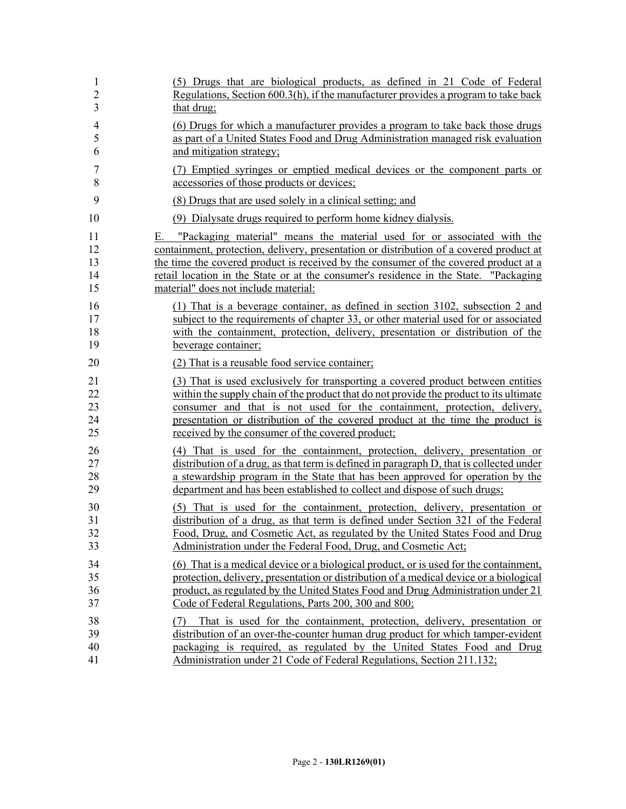| 1                    | (5) Drugs that are biological products, as defined in 21 Code of Federal                                                                                                                                                                                                                                             |
|----------------------|----------------------------------------------------------------------------------------------------------------------------------------------------------------------------------------------------------------------------------------------------------------------------------------------------------------------|
| $\overline{2}$       | Regulations, Section 600.3(h), if the manufacturer provides a program to take back                                                                                                                                                                                                                                   |
| 3                    | that drug;                                                                                                                                                                                                                                                                                                           |
| $\overline{4}$       | (6) Drugs for which a manufacturer provides a program to take back those drugs                                                                                                                                                                                                                                       |
| 5                    | as part of a United States Food and Drug Administration managed risk evaluation                                                                                                                                                                                                                                      |
| 6                    | and mitigation strategy;                                                                                                                                                                                                                                                                                             |
| 7                    | (7) Emptied syringes or emptied medical devices or the component parts or                                                                                                                                                                                                                                            |
| 8                    | accessories of those products or devices;                                                                                                                                                                                                                                                                            |
| 9                    | (8) Drugs that are used solely in a clinical setting; and                                                                                                                                                                                                                                                            |
| 10                   | (9) Dialysate drugs required to perform home kidney dialysis.                                                                                                                                                                                                                                                        |
| 11                   | E. "Packaging material" means the material used for or associated with the                                                                                                                                                                                                                                           |
| 12                   | containment, protection, delivery, presentation or distribution of a covered product at                                                                                                                                                                                                                              |
| 13                   | the time the covered product is received by the consumer of the covered product at a                                                                                                                                                                                                                                 |
| 14                   | retail location in the State or at the consumer's residence in the State. "Packaging                                                                                                                                                                                                                                 |
| 15                   | material" does not include material:                                                                                                                                                                                                                                                                                 |
| 16                   | (1) That is a beverage container, as defined in section 3102, subsection 2 and                                                                                                                                                                                                                                       |
| 17                   | subject to the requirements of chapter 33, or other material used for or associated                                                                                                                                                                                                                                  |
| 18                   | with the containment, protection, delivery, presentation or distribution of the                                                                                                                                                                                                                                      |
| 19                   | beverage container;                                                                                                                                                                                                                                                                                                  |
| 20                   | (2) That is a reusable food service container;                                                                                                                                                                                                                                                                       |
| 21                   | (3) That is used exclusively for transporting a covered product between entities                                                                                                                                                                                                                                     |
| 22                   | within the supply chain of the product that do not provide the product to its ultimate                                                                                                                                                                                                                               |
| 23                   | consumer and that is not used for the containment, protection, delivery,                                                                                                                                                                                                                                             |
| 24                   | presentation or distribution of the covered product at the time the product is                                                                                                                                                                                                                                       |
| 25                   | received by the consumer of the covered product;                                                                                                                                                                                                                                                                     |
| 26                   | (4) That is used for the containment, protection, delivery, presentation or                                                                                                                                                                                                                                          |
| 27                   | distribution of a drug, as that term is defined in paragraph D, that is collected under                                                                                                                                                                                                                              |
| 28                   | a stewardship program in the State that has been approved for operation by the                                                                                                                                                                                                                                       |
| 29                   | department and has been established to collect and dispose of such drugs;                                                                                                                                                                                                                                            |
| 30                   | (5) That is used for the containment, protection, delivery, presentation or                                                                                                                                                                                                                                          |
| 31                   | distribution of a drug, as that term is defined under Section 321 of the Federal                                                                                                                                                                                                                                     |
| 32                   | Food, Drug, and Cosmetic Act, as regulated by the United States Food and Drug                                                                                                                                                                                                                                        |
| 33                   | Administration under the Federal Food, Drug, and Cosmetic Act;                                                                                                                                                                                                                                                       |
| 34                   | (6) That is a medical device or a biological product, or is used for the containment,                                                                                                                                                                                                                                |
| 35                   | protection, delivery, presentation or distribution of a medical device or a biological                                                                                                                                                                                                                               |
| 36                   | product, as regulated by the United States Food and Drug Administration under 21                                                                                                                                                                                                                                     |
| 37                   | Code of Federal Regulations, Parts 200, 300 and 800;                                                                                                                                                                                                                                                                 |
| 38<br>39<br>40<br>41 | That is used for the containment, protection, delivery, presentation or<br>(7)<br>distribution of an over-the-counter human drug product for which tamper-evident<br>packaging is required, as regulated by the United States Food and Drug<br>Administration under 21 Code of Federal Regulations, Section 211.132; |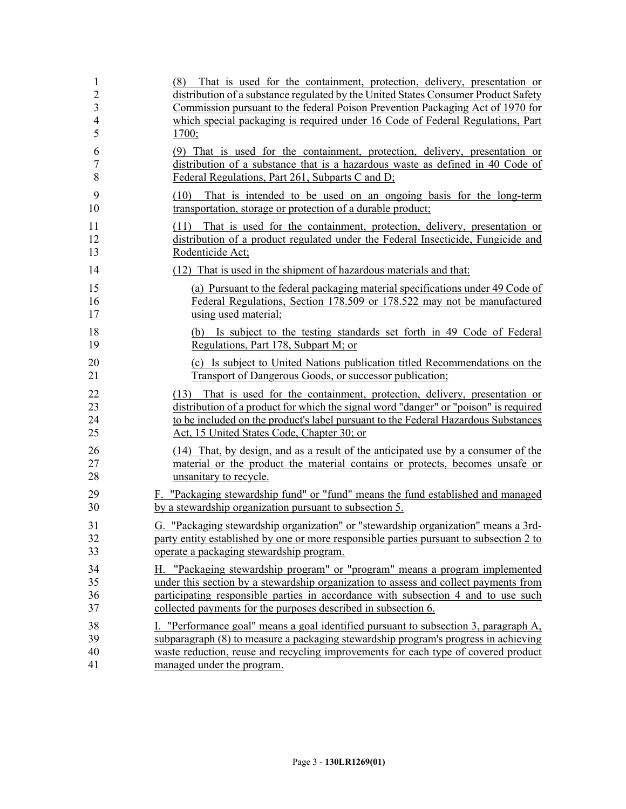| $\mathbf{1}$<br>$\overline{2}$<br>3<br>$\overline{\mathcal{L}}$<br>5 | That is used for the containment, protection, delivery, presentation or<br>(8)<br>distribution of a substance regulated by the United States Consumer Product Safety<br>Commission pursuant to the federal Poison Prevention Packaging Act of 1970 for<br>which special packaging is required under 16 Code of Federal Regulations, Part<br>1700; |
|----------------------------------------------------------------------|---------------------------------------------------------------------------------------------------------------------------------------------------------------------------------------------------------------------------------------------------------------------------------------------------------------------------------------------------|
| 6                                                                    | (9) That is used for the containment, protection, delivery, presentation or                                                                                                                                                                                                                                                                       |
| $\boldsymbol{7}$                                                     | distribution of a substance that is a hazardous waste as defined in 40 Code of                                                                                                                                                                                                                                                                    |
| 8                                                                    | Federal Regulations, Part 261, Subparts C and D;                                                                                                                                                                                                                                                                                                  |
| 9<br>10                                                              | That is intended to be used on an ongoing basis for the long-term<br>(10)<br>transportation, storage or protection of a durable product;                                                                                                                                                                                                          |
| 11<br>12<br>13                                                       | That is used for the containment, protection, delivery, presentation or<br>(11)<br>distribution of a product regulated under the Federal Insecticide, Fungicide and<br>Rodenticide Act;                                                                                                                                                           |
| 14                                                                   | (12) That is used in the shipment of hazardous materials and that:                                                                                                                                                                                                                                                                                |
| 15                                                                   | (a) Pursuant to the federal packaging material specifications under 49 Code of                                                                                                                                                                                                                                                                    |
| 16                                                                   | Federal Regulations, Section 178.509 or 178.522 may not be manufactured                                                                                                                                                                                                                                                                           |
| 17                                                                   | using used material;                                                                                                                                                                                                                                                                                                                              |
| 18                                                                   | (b) Is subject to the testing standards set forth in 49 Code of Federal                                                                                                                                                                                                                                                                           |
| 19                                                                   | Regulations, Part 178, Subpart M; or                                                                                                                                                                                                                                                                                                              |
| 20                                                                   | (c) Is subject to United Nations publication titled Recommendations on the                                                                                                                                                                                                                                                                        |
| 21                                                                   | Transport of Dangerous Goods, or successor publication;                                                                                                                                                                                                                                                                                           |
| 22<br>23<br>24<br>25                                                 | That is used for the containment, protection, delivery, presentation or<br>(13)<br>distribution of a product for which the signal word "danger" or "poison" is required<br>to be included on the product's label pursuant to the Federal Hazardous Substances<br>Act, 15 United States Code, Chapter 30; or                                       |
| 26                                                                   | (14) That, by design, and as a result of the anticipated use by a consumer of the                                                                                                                                                                                                                                                                 |
| 27                                                                   | material or the product the material contains or protects, becomes unsafe or                                                                                                                                                                                                                                                                      |
| 28                                                                   | unsanitary to recycle.                                                                                                                                                                                                                                                                                                                            |
| 29                                                                   | F. "Packaging stewardship fund" or "fund" means the fund established and managed                                                                                                                                                                                                                                                                  |
| 30                                                                   | by a stewardship organization pursuant to subsection 5.                                                                                                                                                                                                                                                                                           |
| 31                                                                   | G. "Packaging stewardship organization" or "stewardship organization" means a 3rd-                                                                                                                                                                                                                                                                |
| 32                                                                   | party entity established by one or more responsible parties pursuant to subsection 2 to                                                                                                                                                                                                                                                           |
| 33                                                                   | operate a packaging stewardship program.                                                                                                                                                                                                                                                                                                          |
| 34                                                                   | H. "Packaging stewardship program" or "program" means a program implemented                                                                                                                                                                                                                                                                       |
| 35                                                                   | under this section by a stewardship organization to assess and collect payments from                                                                                                                                                                                                                                                              |
| 36                                                                   | participating responsible parties in accordance with subsection 4 and to use such                                                                                                                                                                                                                                                                 |
| 37                                                                   | collected payments for the purposes described in subsection 6.                                                                                                                                                                                                                                                                                    |
| 38                                                                   | I. "Performance goal" means a goal identified pursuant to subsection 3, paragraph A,                                                                                                                                                                                                                                                              |
| 39                                                                   | subparagraph (8) to measure a packaging stewardship program's progress in achieving                                                                                                                                                                                                                                                               |
| 40                                                                   | waste reduction, reuse and recycling improvements for each type of covered product                                                                                                                                                                                                                                                                |
| 41                                                                   | managed under the program.                                                                                                                                                                                                                                                                                                                        |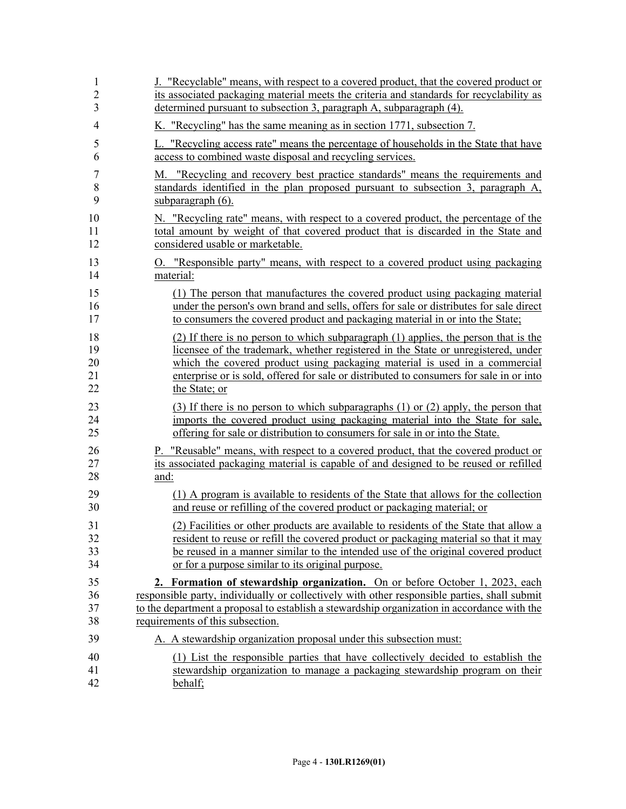| $\mathbf{1}$   | J. "Recyclable" means, with respect to a covered product, that the covered product or        |
|----------------|----------------------------------------------------------------------------------------------|
| $\overline{2}$ | its associated packaging material meets the criteria and standards for recyclability as      |
| 3              | determined pursuant to subsection 3, paragraph A, subparagraph (4).                          |
| $\overline{4}$ | K. "Recycling" has the same meaning as in section 1771, subsection 7.                        |
| 5              | L. "Recycling access rate" means the percentage of households in the State that have         |
| 6              | access to combined waste disposal and recycling services.                                    |
| 7              | M. "Recycling and recovery best practice standards" means the requirements and               |
| 8              | standards identified in the plan proposed pursuant to subsection 3, paragraph A,             |
| 9              | subparagraph (6).                                                                            |
| 10             | N. "Recycling rate" means, with respect to a covered product, the percentage of the          |
| 11             | total amount by weight of that covered product that is discarded in the State and            |
| 12             | considered usable or marketable.                                                             |
| 13             | <u>O. "Responsible party" means, with respect to a covered product using packaging</u>       |
| 14             | material:                                                                                    |
| 15             | (1) The person that manufactures the covered product using packaging material                |
| 16             | under the person's own brand and sells, offers for sale or distributes for sale direct       |
| 17             | to consumers the covered product and packaging material in or into the State;                |
| 18             | (2) If there is no person to which subparagraph (1) applies, the person that is the          |
| 19             | licensee of the trademark, whether registered in the State or unregistered, under            |
| 20             | which the covered product using packaging material is used in a commercial                   |
| 21             | enterprise or is sold, offered for sale or distributed to consumers for sale in or into      |
| 22             | the State; or                                                                                |
| 23             | (3) If there is no person to which subparagraphs (1) or (2) apply, the person that           |
| 24             | imports the covered product using packaging material into the State for sale,                |
| 25             | offering for sale or distribution to consumers for sale in or into the State.                |
| 26             | P. "Reusable" means, with respect to a covered product, that the covered product or          |
| 27             | its associated packaging material is capable of and designed to be reused or refilled        |
| 28             | and:                                                                                         |
| 29             | (1) A program is available to residents of the State that allows for the collection          |
| 30             | and reuse or refilling of the covered product or packaging material; or                      |
| 31             | (2) Facilities or other products are available to residents of the State that allow a        |
| 32             | resident to reuse or refill the covered product or packaging material so that it may         |
| 33             | be reused in a manner similar to the intended use of the original covered product            |
| 34             | or for a purpose similar to its original purpose.                                            |
| 35             | 2. Formation of stewardship organization. On or before October 1, 2023, each                 |
| 36             | responsible party, individually or collectively with other responsible parties, shall submit |
| 37             | to the department a proposal to establish a stewardship organization in accordance with the  |
| 38             | requirements of this subsection.                                                             |
| 39             | A. A stewardship organization proposal under this subsection must:                           |
| 40             | (1) List the responsible parties that have collectively decided to establish the             |
| 41             | stewardship organization to manage a packaging stewardship program on their                  |
| 42             | behalf;                                                                                      |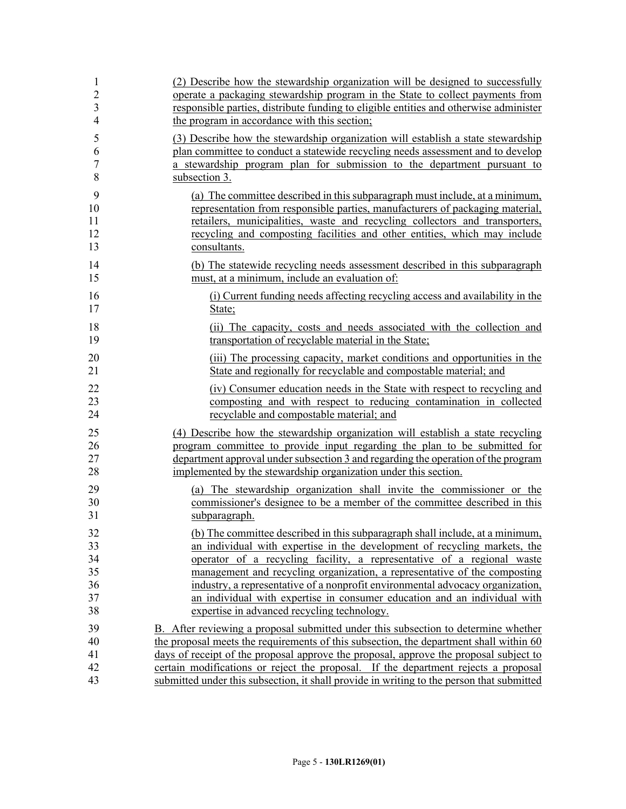| 1              | (2) Describe how the stewardship organization will be designed to successfully            |
|----------------|-------------------------------------------------------------------------------------------|
| $\overline{2}$ | operate a packaging stewardship program in the State to collect payments from             |
| 3              | responsible parties, distribute funding to eligible entities and otherwise administer     |
| $\overline{4}$ | the program in accordance with this section;                                              |
| 5              | (3) Describe how the stewardship organization will establish a state stewardship          |
| 6              | plan committee to conduct a statewide recycling needs assessment and to develop           |
| 7              | a stewardship program plan for submission to the department pursuant to                   |
| 8              | subsection 3.                                                                             |
| 9              | (a) The committee described in this subparagraph must include, at a minimum,              |
| 10             | representation from responsible parties, manufacturers of packaging material,             |
| 11             | retailers, municipalities, waste and recycling collectors and transporters,               |
| 12             | recycling and composting facilities and other entities, which may include                 |
| 13             | consultants.                                                                              |
| 14             | (b) The statewide recycling needs assessment described in this subparagraph               |
| 15             | must, at a minimum, include an evaluation of:                                             |
| 16             | (i) Current funding needs affecting recycling access and availability in the              |
| 17             | State;                                                                                    |
| 18             | (ii) The capacity, costs and needs associated with the collection and                     |
| 19             | transportation of recyclable material in the State;                                       |
| 20             | (iii) The processing capacity, market conditions and opportunities in the                 |
| 21             | State and regionally for recyclable and compostable material; and                         |
| 22             | (iv) Consumer education needs in the State with respect to recycling and                  |
| 23             | composting and with respect to reducing contamination in collected                        |
| 24             | recyclable and compostable material; and                                                  |
| 25             | (4) Describe how the stewardship organization will establish a state recycling            |
| 26             | program committee to provide input regarding the plan to be submitted for                 |
| 27             | department approval under subsection 3 and regarding the operation of the program         |
| 28             | implemented by the stewardship organization under this section.                           |
| 29             | (a) The stewardship organization shall invite the commissioner or the                     |
| 30             | commissioner's designee to be a member of the committee described in this                 |
| 31             | subparagraph.                                                                             |
| 32             | (b) The committee described in this subparagraph shall include, at a minimum,             |
| 33             | an individual with expertise in the development of recycling markets, the                 |
| 34             | operator of a recycling facility, a representative of a regional waste                    |
| 35             | management and recycling organization, a representative of the composting                 |
| 36             | industry, a representative of a nonprofit environmental advocacy organization,            |
| 37             | an individual with expertise in consumer education and an individual with                 |
| 38             | expertise in advanced recycling technology.                                               |
| 39             | B. After reviewing a proposal submitted under this subsection to determine whether        |
| 40             | the proposal meets the requirements of this subsection, the department shall within 60    |
| 41             | days of receipt of the proposal approve the proposal, approve the proposal subject to     |
| 42             | certain modifications or reject the proposal. If the department rejects a proposal        |
| 43             | submitted under this subsection, it shall provide in writing to the person that submitted |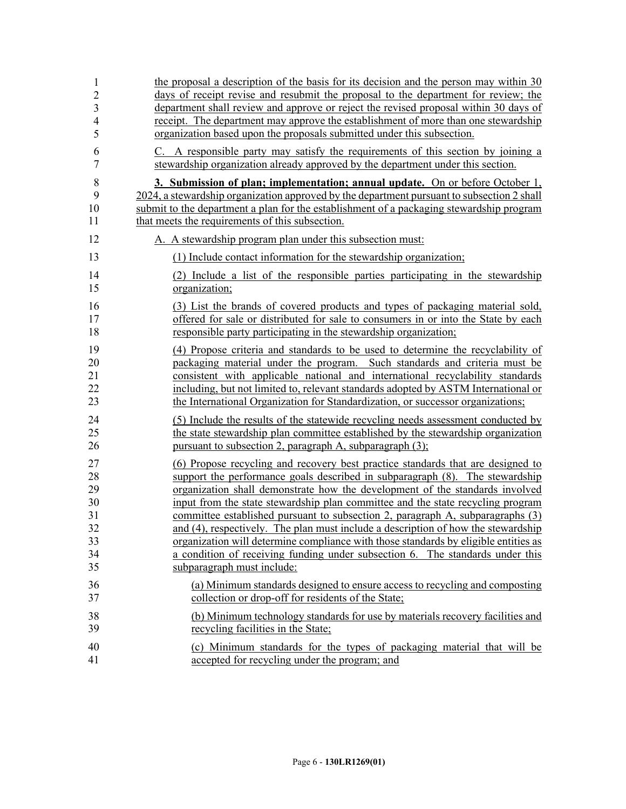| 1              | the proposal a description of the basis for its decision and the person may within 30      |
|----------------|--------------------------------------------------------------------------------------------|
| $\overline{2}$ | days of receipt revise and resubmit the proposal to the department for review; the         |
| 3              | department shall review and approve or reject the revised proposal within 30 days of       |
| $\overline{4}$ | receipt. The department may approve the establishment of more than one stewardship         |
| 5              | organization based upon the proposals submitted under this subsection.                     |
| 6              | C. A responsible party may satisfy the requirements of this section by joining a           |
| $\tau$         | stewardship organization already approved by the department under this section.            |
| 8              | 3. Submission of plan; implementation; annual update. On or before October 1,              |
| 9              | 2024, a stewardship organization approved by the department pursuant to subsection 2 shall |
| 10             | submit to the department a plan for the establishment of a packaging stewardship program   |
| 11             | that meets the requirements of this subsection.                                            |
| 12             | A. A stewardship program plan under this subsection must:                                  |
| 13             | (1) Include contact information for the stewardship organization;                          |
| 14             | (2) Include a list of the responsible parties participating in the stewardship             |
| 15             | organization;                                                                              |
| 16             | (3) List the brands of covered products and types of packaging material sold,              |
| 17             | offered for sale or distributed for sale to consumers in or into the State by each         |
| 18             | responsible party participating in the stewardship organization;                           |
| 19             | (4) Propose criteria and standards to be used to determine the recyclability of            |
| 20             | packaging material under the program. Such standards and criteria must be                  |
| 21             | consistent with applicable national and international recyclability standards              |
| 22             | including, but not limited to, relevant standards adopted by ASTM International or         |
| 23             | the International Organization for Standardization, or successor organizations;            |
| 24             | (5) Include the results of the statewide recycling needs assessment conducted by           |
| 25             | the state stewardship plan committee established by the stewardship organization           |
| 26             | pursuant to subsection 2, paragraph A, subparagraph (3);                                   |
| 27             | (6) Propose recycling and recovery best practice standards that are designed to            |
| 28             | support the performance goals described in subparagraph (8). The stewardship               |
| 29             | organization shall demonstrate how the development of the standards involved               |
| 30             | input from the state stewardship plan committee and the state recycling program            |
| 31             | committee established pursuant to subsection 2, paragraph A, subparagraphs (3)             |
| 32             | and (4), respectively. The plan must include a description of how the stewardship          |
| 33             | organization will determine compliance with those standards by eligible entities as        |
| 34             | a condition of receiving funding under subsection 6. The standards under this              |
| 35             | subparagraph must include:                                                                 |
| 36             | (a) Minimum standards designed to ensure access to recycling and composting                |
| 37             | collection or drop-off for residents of the State;                                         |
| 38             | (b) Minimum technology standards for use by materials recovery facilities and              |
| 39             | recycling facilities in the State;                                                         |
| 40             | (c) Minimum standards for the types of packaging material that will be                     |
| 41             | accepted for recycling under the program; and                                              |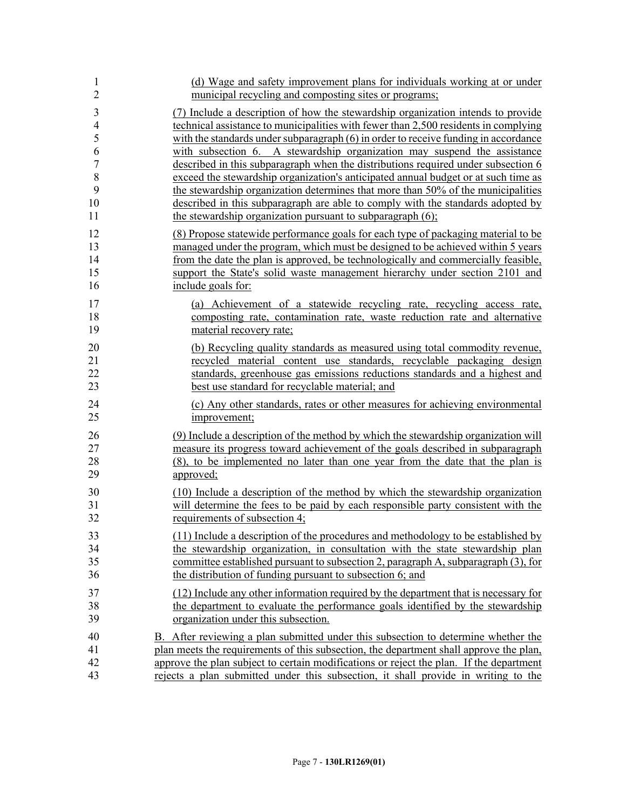| 1              | (d) Wage and safety improvement plans for individuals working at or under               |
|----------------|-----------------------------------------------------------------------------------------|
| $\overline{2}$ | municipal recycling and composting sites or programs;                                   |
| 3              | (7) Include a description of how the stewardship organization intends to provide        |
| $\overline{4}$ | technical assistance to municipalities with fewer than 2,500 residents in complying     |
| 5              | with the standards under subparagraph $(6)$ in order to receive funding in accordance   |
| 6              | with subsection 6. A stewardship organization may suspend the assistance                |
| $\sqrt{ }$     | described in this subparagraph when the distributions required under subsection 6       |
| $\,$ 8 $\,$    | exceed the stewardship organization's anticipated annual budget or at such time as      |
| 9              | the stewardship organization determines that more than 50% of the municipalities        |
| 10             | described in this subparagraph are able to comply with the standards adopted by         |
| 11             | the stewardship organization pursuant to subparagraph (6);                              |
| 12             | (8) Propose statewide performance goals for each type of packaging material to be       |
| 13             | managed under the program, which must be designed to be achieved within 5 years         |
| 14             | from the date the plan is approved, be technologically and commercially feasible,       |
| 15             | support the State's solid waste management hierarchy under section 2101 and             |
| 16             | include goals for:                                                                      |
| 17             | (a) Achievement of a statewide recycling rate, recycling access rate,                   |
| 18             | composting rate, contamination rate, waste reduction rate and alternative               |
| 19             | material recovery rate;                                                                 |
| 20             | (b) Recycling quality standards as measured using total commodity revenue,              |
| 21             | recycled material content use standards, recyclable packaging design                    |
| 22             | standards, greenhouse gas emissions reductions standards and a highest and              |
| 23             | best use standard for recyclable material; and                                          |
| 24             | (c) Any other standards, rates or other measures for achieving environmental            |
| 25             | improvement;                                                                            |
| 26             | (9) Include a description of the method by which the stewardship organization will      |
| 27             | measure its progress toward achievement of the goals described in subparagraph          |
| 28             | (8), to be implemented no later than one year from the date that the plan is            |
| 29             | approved;                                                                               |
| 30             | (10) Include a description of the method by which the stewardship organization          |
| 31             | will determine the fees to be paid by each responsible party consistent with the        |
| 32             | requirements of subsection 4;                                                           |
| 33             | (11) Include a description of the procedures and methodology to be established by       |
| 34             | the stewardship organization, in consultation with the state stewardship plan           |
| 35             | committee established pursuant to subsection 2, paragraph A, subparagraph (3), for      |
| 36             | the distribution of funding pursuant to subsection 6; and                               |
| 37             | (12) Include any other information required by the department that is necessary for     |
| 38             | the department to evaluate the performance goals identified by the stewardship          |
| 39             | organization under this subsection.                                                     |
| 40             | B. After reviewing a plan submitted under this subsection to determine whether the      |
| 41             | plan meets the requirements of this subsection, the department shall approve the plan,  |
| 42             | approve the plan subject to certain modifications or reject the plan. If the department |
| 43             | rejects a plan submitted under this subsection, it shall provide in writing to the      |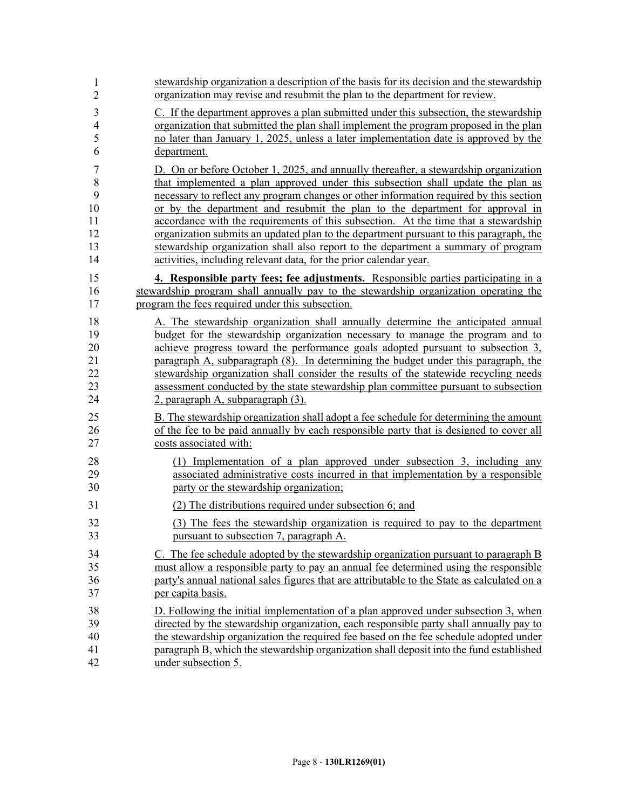| 1              | stewardship organization a description of the basis for its decision and the stewardship    |
|----------------|---------------------------------------------------------------------------------------------|
| $\overline{2}$ | organization may revise and resubmit the plan to the department for review.                 |
| $\mathfrak{Z}$ | C. If the department approves a plan submitted under this subsection, the stewardship       |
| $\overline{4}$ | organization that submitted the plan shall implement the program proposed in the plan       |
| 5              | no later than January 1, 2025, unless a later implementation date is approved by the        |
| 6              | department.                                                                                 |
| 7              | D. On or before October 1, 2025, and annually thereafter, a stewardship organization        |
| 8              | that implemented a plan approved under this subsection shall update the plan as             |
| 9              | necessary to reflect any program changes or other information required by this section      |
| 10             | or by the department and resubmit the plan to the department for approval in                |
| 11             | accordance with the requirements of this subsection. At the time that a stewardship         |
| 12             | organization submits an updated plan to the department pursuant to this paragraph, the      |
| 13             | stewardship organization shall also report to the department a summary of program           |
| 14             | activities, including relevant data, for the prior calendar year.                           |
| 15             | 4. Responsible party fees; fee adjustments. Responsible parties participating in a          |
| 16             | stewardship program shall annually pay to the stewardship organization operating the        |
| 17             | program the fees required under this subsection.                                            |
| 18             | A. The stewardship organization shall annually determine the anticipated annual             |
| 19             | budget for the stewardship organization necessary to manage the program and to              |
| 20             | achieve progress toward the performance goals adopted pursuant to subsection 3,             |
| 21             | paragraph A, subparagraph (8). In determining the budget under this paragraph, the          |
| 22             | stewardship organization shall consider the results of the statewide recycling needs        |
| 23             | assessment conducted by the state stewardship plan committee pursuant to subsection         |
| 24             | 2, paragraph A, subparagraph (3).                                                           |
| 25             | B. The stewardship organization shall adopt a fee schedule for determining the amount       |
| 26             | of the fee to be paid annually by each responsible party that is designed to cover all      |
| 27             | costs associated with:                                                                      |
| 28             | (1) Implementation of a plan approved under subsection 3, including any                     |
| 29             | associated administrative costs incurred in that implementation by a responsible            |
| 30             | party or the stewardship organization;                                                      |
| 31             | (2) The distributions required under subsection 6; and                                      |
| 32             | (3) The fees the stewardship organization is required to pay to the department              |
| 33             | pursuant to subsection 7, paragraph A.                                                      |
| 34             | C. The fee schedule adopted by the stewardship organization pursuant to paragraph B         |
| 35             | must allow a responsible party to pay an annual fee determined using the responsible        |
| 36             | party's annual national sales figures that are attributable to the State as calculated on a |
| 37             | per capita basis.                                                                           |
| 38             | D. Following the initial implementation of a plan approved under subsection 3, when         |
| 39             | directed by the stewardship organization, each responsible party shall annually pay to      |
| 40             | the stewardship organization the required fee based on the fee schedule adopted under       |
| 41             | paragraph B, which the stewardship organization shall deposit into the fund established     |
| 42             | under subsection 5.                                                                         |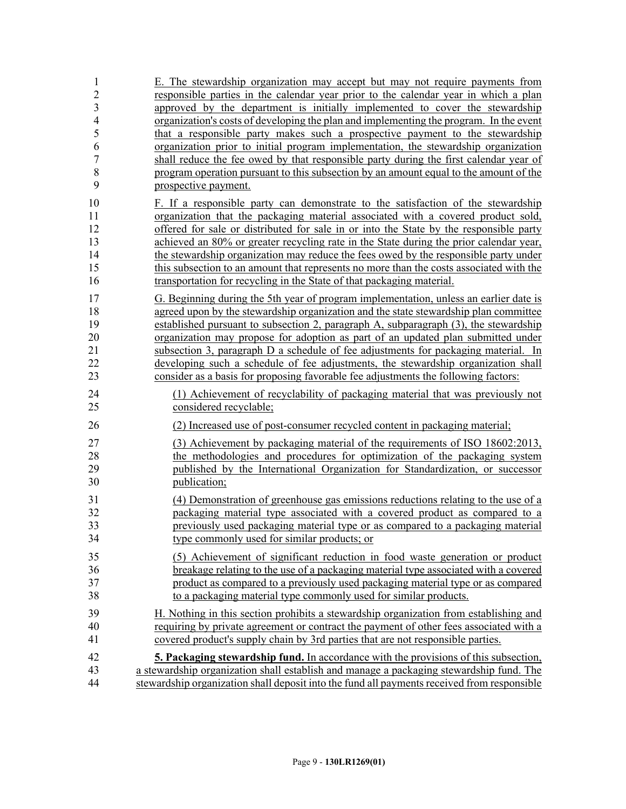| $\mathbf{1}$<br>$\overline{2}$ | E. The stewardship organization may accept but may not require payments from<br>responsible parties in the calendar year prior to the calendar year in which a plan |
|--------------------------------|---------------------------------------------------------------------------------------------------------------------------------------------------------------------|
| $\overline{\mathbf{3}}$        | approved by the department is initially implemented to cover the stewardship                                                                                        |
| $\overline{4}$                 | organization's costs of developing the plan and implementing the program. In the event                                                                              |
| 5                              | that a responsible party makes such a prospective payment to the stewardship                                                                                        |
| 6                              | organization prior to initial program implementation, the stewardship organization                                                                                  |
| $\overline{7}$                 | shall reduce the fee owed by that responsible party during the first calendar year of                                                                               |
| 8                              | program operation pursuant to this subsection by an amount equal to the amount of the                                                                               |
| 9                              | prospective payment.                                                                                                                                                |
| 10                             | F. If a responsible party can demonstrate to the satisfaction of the stewardship                                                                                    |
| 11                             | organization that the packaging material associated with a covered product sold,                                                                                    |
| 12                             | offered for sale or distributed for sale in or into the State by the responsible party                                                                              |
| 13                             | achieved an 80% or greater recycling rate in the State during the prior calendar year,                                                                              |
| 14                             | the stewardship organization may reduce the fees owed by the responsible party under                                                                                |
| 15                             | this subsection to an amount that represents no more than the costs associated with the                                                                             |
| 16                             | transportation for recycling in the State of that packaging material.                                                                                               |
| 17                             | G. Beginning during the 5th year of program implementation, unless an earlier date is                                                                               |
| 18                             | agreed upon by the stewardship organization and the state stewardship plan committee                                                                                |
| 19                             | established pursuant to subsection 2, paragraph A, subparagraph (3), the stewardship                                                                                |
| 20                             | organization may propose for adoption as part of an updated plan submitted under                                                                                    |
| 21                             | subsection 3, paragraph D a schedule of fee adjustments for packaging material. In                                                                                  |
| 22                             | developing such a schedule of fee adjustments, the stewardship organization shall                                                                                   |
| 23                             | consider as a basis for proposing favorable fee adjustments the following factors:                                                                                  |
| 24                             | (1) Achievement of recyclability of packaging material that was previously not                                                                                      |
| 25                             | considered recyclable;                                                                                                                                              |
| 26                             | (2) Increased use of post-consumer recycled content in packaging material;                                                                                          |
| 27                             | (3) Achievement by packaging material of the requirements of ISO 18602:2013,                                                                                        |
| 28                             | the methodologies and procedures for optimization of the packaging system                                                                                           |
| 29                             | published by the International Organization for Standardization, or successor                                                                                       |
| 30                             | publication;                                                                                                                                                        |
| 31                             | (4) Demonstration of greenhouse gas emissions reductions relating to the use of a                                                                                   |
| 32                             | packaging material type associated with a covered product as compared to a                                                                                          |
| 33                             | previously used packaging material type or as compared to a packaging material                                                                                      |
| 34                             | type commonly used for similar products; or                                                                                                                         |
| 35                             | (5) Achievement of significant reduction in food waste generation or product                                                                                        |
| 36                             | breakage relating to the use of a packaging material type associated with a covered                                                                                 |
| 37                             | product as compared to a previously used packaging material type or as compared                                                                                     |
| 38                             | to a packaging material type commonly used for similar products.                                                                                                    |
| 39                             | H. Nothing in this section prohibits a stewardship organization from establishing and                                                                               |
| 40                             | requiring by private agreement or contract the payment of other fees associated with a                                                                              |
| 41                             | covered product's supply chain by 3rd parties that are not responsible parties.                                                                                     |
| 42                             | <b>5. Packaging stewardship fund.</b> In accordance with the provisions of this subsection,                                                                         |
| 43                             | a stewardship organization shall establish and manage a packaging stewardship fund. The                                                                             |
| 44                             | stewardship organization shall deposit into the fund all payments received from responsible                                                                         |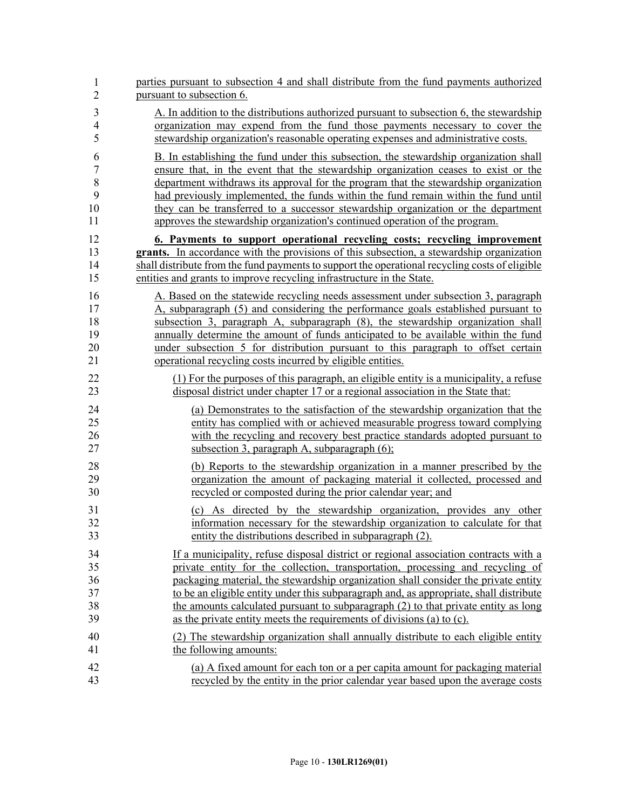| $\mathbf{1}$   | parties pursuant to subsection 4 and shall distribute from the fund payments authorized         |
|----------------|-------------------------------------------------------------------------------------------------|
| $\overline{2}$ | pursuant to subsection 6.                                                                       |
| $\mathfrak{Z}$ | A. In addition to the distributions authorized pursuant to subsection 6, the stewardship        |
| $\overline{4}$ | organization may expend from the fund those payments necessary to cover the                     |
| 5              | stewardship organization's reasonable operating expenses and administrative costs.              |
| 6              | B. In establishing the fund under this subsection, the stewardship organization shall           |
| $\tau$         | ensure that, in the event that the stewardship organization ceases to exist or the              |
| $\,8\,$        | department withdraws its approval for the program that the stewardship organization             |
| 9              | had previously implemented, the funds within the fund remain within the fund until              |
| 10             | they can be transferred to a successor stewardship organization or the department               |
| 11             | approves the stewardship organization's continued operation of the program.                     |
| 12             | <u><b>6. Payments to support operational recycling costs; recycling improvement</b></u>         |
| 13             | <b>grants.</b> In accordance with the provisions of this subsection, a stewardship organization |
| 14             | shall distribute from the fund payments to support the operational recycling costs of eligible  |
| 15             | entities and grants to improve recycling infrastructure in the State.                           |
| 16             | A. Based on the statewide recycling needs assessment under subsection 3, paragraph              |
| 17             | A, subparagraph (5) and considering the performance goals established pursuant to               |
| 18             | subsection 3, paragraph A, subparagraph (8), the stewardship organization shall                 |
| 19             | annually determine the amount of funds anticipated to be available within the fund              |
| 20             | under subsection 5 for distribution pursuant to this paragraph to offset certain                |
| 21             | operational recycling costs incurred by eligible entities.                                      |
| 22             | (1) For the purposes of this paragraph, an eligible entity is a municipality, a refuse          |
| 23             | disposal district under chapter 17 or a regional association in the State that:                 |
| 24             | (a) Demonstrates to the satisfaction of the stewardship organization that the                   |
| 25             | entity has complied with or achieved measurable progress toward complying                       |
| 26             | with the recycling and recovery best practice standards adopted pursuant to                     |
| 27             | subsection 3, paragraph A, subparagraph $(6)$ ;                                                 |
| 28             | (b) Reports to the stewardship organization in a manner prescribed by the                       |
| 29             | organization the amount of packaging material it collected, processed and                       |
| 30             | recycled or composted during the prior calendar year; and                                       |
| 31             | (c) As directed by the stewardship organization, provides any other                             |
| 32             | information necessary for the stewardship organization to calculate for that                    |
| 33             | entity the distributions described in subparagraph (2).                                         |
| 34             | If a municipality, refuse disposal district or regional association contracts with a            |
| 35             | private entity for the collection, transportation, processing and recycling of                  |
| 36             | packaging material, the stewardship organization shall consider the private entity              |
| 37             | to be an eligible entity under this subparagraph and, as appropriate, shall distribute          |
| 38             | the amounts calculated pursuant to subparagraph (2) to that private entity as long              |
| 39             | as the private entity meets the requirements of divisions (a) to (c).                           |
| 40             | (2) The stewardship organization shall annually distribute to each eligible entity              |
| 41             | the following amounts:                                                                          |
| 42             | (a) A fixed amount for each ton or a per capita amount for packaging material                   |
| 43             | recycled by the entity in the prior calendar year based upon the average costs                  |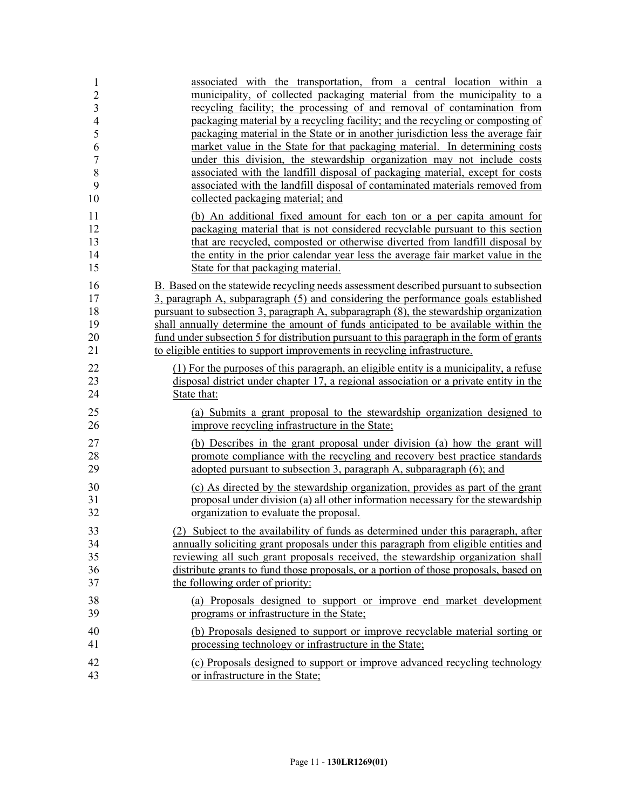| 1              | associated with the transportation, from a central location within a                      |
|----------------|-------------------------------------------------------------------------------------------|
| $\overline{2}$ | municipality, of collected packaging material from the municipality to a                  |
| $\overline{3}$ | recycling facility; the processing of and removal of contamination from                   |
| $\overline{4}$ | packaging material by a recycling facility; and the recycling or composting of            |
| 5              | packaging material in the State or in another jurisdiction less the average fair          |
| 6              | market value in the State for that packaging material. In determining costs               |
| $\overline{7}$ | under this division, the stewardship organization may not include costs                   |
| 8              | associated with the landfill disposal of packaging material, except for costs             |
| 9              | associated with the landfill disposal of contaminated materials removed from              |
| 10             | collected packaging material; and                                                         |
| 11             | (b) An additional fixed amount for each ton or a per capita amount for                    |
| 12             | packaging material that is not considered recyclable pursuant to this section             |
| 13             | that are recycled, composted or otherwise diverted from landfill disposal by              |
| 14             | the entity in the prior calendar year less the average fair market value in the           |
| 15             | State for that packaging material.                                                        |
| 16             | B. Based on the statewide recycling needs assessment described pursuant to subsection     |
| 17             | 3, paragraph A, subparagraph (5) and considering the performance goals established        |
| 18             | pursuant to subsection 3, paragraph A, subparagraph (8), the stewardship organization     |
| 19             | shall annually determine the amount of funds anticipated to be available within the       |
| 20             | fund under subsection 5 for distribution pursuant to this paragraph in the form of grants |
| 21             | to eligible entities to support improvements in recycling infrastructure.                 |
| 22             | (1) For the purposes of this paragraph, an eligible entity is a municipality, a refuse    |
| 23             | disposal district under chapter 17, a regional association or a private entity in the     |
| 24             | State that:                                                                               |
| 25             | (a) Submits a grant proposal to the stewardship organization designed to                  |
| 26             | improve recycling infrastructure in the State;                                            |
| 27             | (b) Describes in the grant proposal under division (a) how the grant will                 |
| 28             | promote compliance with the recycling and recovery best practice standards                |
| 29             | adopted pursuant to subsection 3, paragraph A, subparagraph (6); and                      |
| 30             | (c) As directed by the stewardship organization, provides as part of the grant            |
| 31             | proposal under division (a) all other information necessary for the stewardship           |
| 32             | organization to evaluate the proposal.                                                    |
| 33             | (2) Subject to the availability of funds as determined under this paragraph, after        |
| 34             | annually soliciting grant proposals under this paragraph from eligible entities and       |
| 35             | reviewing all such grant proposals received, the stewardship organization shall           |
| 36             | distribute grants to fund those proposals, or a portion of those proposals, based on      |
| 37             | the following order of priority:                                                          |
| 38             | (a) Proposals designed to support or improve end market development                       |
| 39             | programs or infrastructure in the State;                                                  |
| 40             | (b) Proposals designed to support or improve recyclable material sorting or               |
| 41             | processing technology or infrastructure in the State;                                     |
| 42             | (c) Proposals designed to support or improve advanced recycling technology                |
| 43             | or infrastructure in the State;                                                           |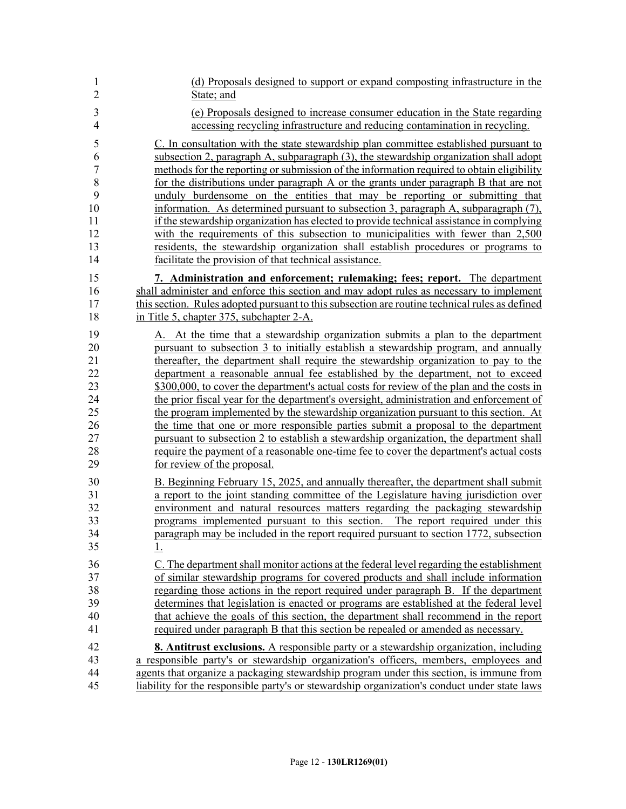| $\mathbf{1}$   | (d) Proposals designed to support or expand composting infrastructure in the                   |
|----------------|------------------------------------------------------------------------------------------------|
| $\overline{2}$ | State; and                                                                                     |
| $\mathfrak{Z}$ | (e) Proposals designed to increase consumer education in the State regarding                   |
| $\overline{4}$ | accessing recycling infrastructure and reducing contamination in recycling.                    |
| 5              | C. In consultation with the state stewardship plan committee established pursuant to           |
| 6              | subsection 2, paragraph A, subparagraph (3), the stewardship organization shall adopt          |
| $\overline{7}$ | methods for the reporting or submission of the information required to obtain eligibility      |
| 8              | for the distributions under paragraph A or the grants under paragraph B that are not           |
| 9              | unduly burdensome on the entities that may be reporting or submitting that                     |
| 10             | information. As determined pursuant to subsection 3, paragraph A, subparagraph (7),            |
| 11             | if the stewardship organization has elected to provide technical assistance in complying       |
| 12             | with the requirements of this subsection to municipalities with fewer than 2,500               |
| 13             | residents, the stewardship organization shall establish procedures or programs to              |
| 14             | facilitate the provision of that technical assistance.                                         |
| 15             | 7. Administration and enforcement; rulemaking; fees; report. The department                    |
| 16             | shall administer and enforce this section and may adopt rules as necessary to implement        |
| 17             | this section. Rules adopted pursuant to this subsection are routine technical rules as defined |
| 18             | in Title 5, chapter 375, subchapter 2-A.                                                       |
| 19             | A. At the time that a stewardship organization submits a plan to the department                |
| 20             | pursuant to subsection 3 to initially establish a stewardship program, and annually            |
| 21             | thereafter, the department shall require the stewardship organization to pay to the            |
| 22             | department a reasonable annual fee established by the department, not to exceed                |
| 23             | \$300,000, to cover the department's actual costs for review of the plan and the costs in      |
| 24             | the prior fiscal year for the department's oversight, administration and enforcement of        |
| 25             | the program implemented by the stewardship organization pursuant to this section. At           |
| 26             | the time that one or more responsible parties submit a proposal to the department              |
| 27             | pursuant to subsection 2 to establish a stewardship organization, the department shall         |
| 28             | require the payment of a reasonable one-time fee to cover the department's actual costs        |
| 29             | for review of the proposal.                                                                    |
| 30             | B. Beginning February 15, 2025, and annually thereafter, the department shall submit           |
| 31             | a report to the joint standing committee of the Legislature having jurisdiction over           |
| 32             | environment and natural resources matters regarding the packaging stewardship                  |
| 33             | programs implemented pursuant to this section. The report required under this                  |
| 34             | paragraph may be included in the report required pursuant to section 1772, subsection          |
| 35             | 1.                                                                                             |
| 36             | C. The department shall monitor actions at the federal level regarding the establishment       |
| 37             | of similar stewardship programs for covered products and shall include information             |
| 38             | regarding those actions in the report required under paragraph B. If the department            |
| 39             | determines that legislation is enacted or programs are established at the federal level        |
| 40             | that achieve the goals of this section, the department shall recommend in the report           |
| 41             | required under paragraph B that this section be repealed or amended as necessary.              |
| 42             | <b>8. Antitrust exclusions.</b> A responsible party or a stewardship organization, including   |
| 43             | a responsible party's or stewardship organization's officers, members, employees and           |
| 44             | agents that organize a packaging stewardship program under this section, is immune from        |
| 45             | liability for the responsible party's or stewardship organization's conduct under state laws   |